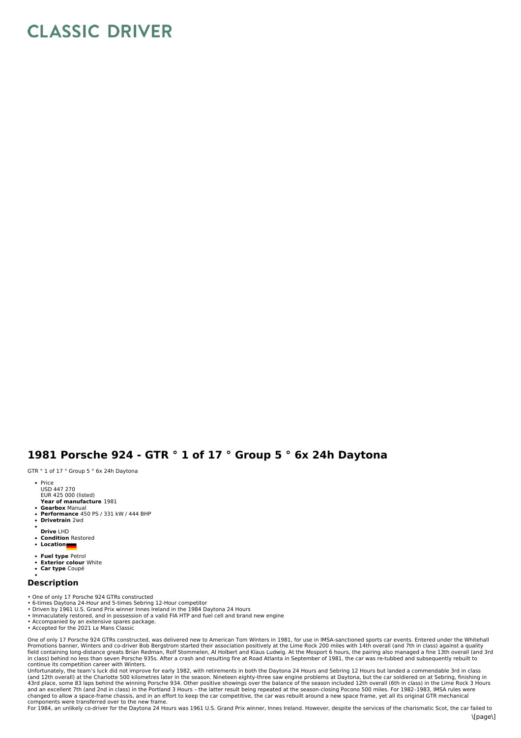## **CLASSIC DRIVER**

## **1981 Porsche 924 - GTR ° 1 of 17 ° Group 5 ° 6x 24h Daytona**

GTR ° 1 of 17 ° Group 5 ° 6x 24h Daytona

- **Year of manufacture** 1981 • Price USD 447 270 EUR 425 000 (listed)
- **Gearbox** Manual
- **Performance** 450 PS / 331 kW / 444 BHP
- **Drivetrain** 2wd
- **Drive** LHD
- 
- **Condition** Restored **Location**
- **Fuel type** Petrol
- $\ddot{\phantom{0}}$
- **Exterior colour** White **Car type** Coupé

## **Description**

- One of only 17 Porsche 924 GTRs constructed
- 6-times Daytona 24-Hour and 5-times Sebring 12-Hour competitor
- 
- Driven by 1961 U.S. Grand Prix winner Innes Ireland in the 1984 Daytona 24 Hours<br>• Immaculately restored, and in possession of a valid FIA HTP and fuel cell and brand new engine<br>• Accompanied by an extensive spares packa
- Accepted for the 2021 Le Mans Classic
- One of only 17 Porsche 924 GTRs constructed, was delivered new to American Tom Winters in 1981, for use in IMSA-sanctioned sports car events. Entered under the Whitehall Promotions banner, Winters and co-driver Bob Bergstrom started their association positively at the Lime Rock 200 miles with 14th overall (and 7th in class) against a quality<br>field containing long-distance greats Brian Redm

in class) behind no less than seven Porsche 935s. After a crash and resulting fire at Road Atlanta in September of 1981, the car was re-tubbed and subsequently rebuilt to continue its competition career with Winters. Unfortunately, the team's luck did not improve for early 1982, with retirements in both the Daytona 24 Hours and Sebring 12 Hours but landed a commendable 3rd in class<br>(and 12th overall) at the Charlotte 500 kilometres lat 43rd place, some 83 laps behind the winning Porsche 934. Other positive showings over the balance of the season included 12th overall (6th in class) in the Lime Rock 3 Hours<br>and an excellent 7th (and 2nd in class) in the P components were transferred over to the new frame.

For 1984, an unlikely co-driver for the Daytona 24 Hours was 1961 U.S. Grand Prix winner, Innes Ireland. However, despite the services of the charismatic Scot, the car failed to  $\[\text{name}\]$